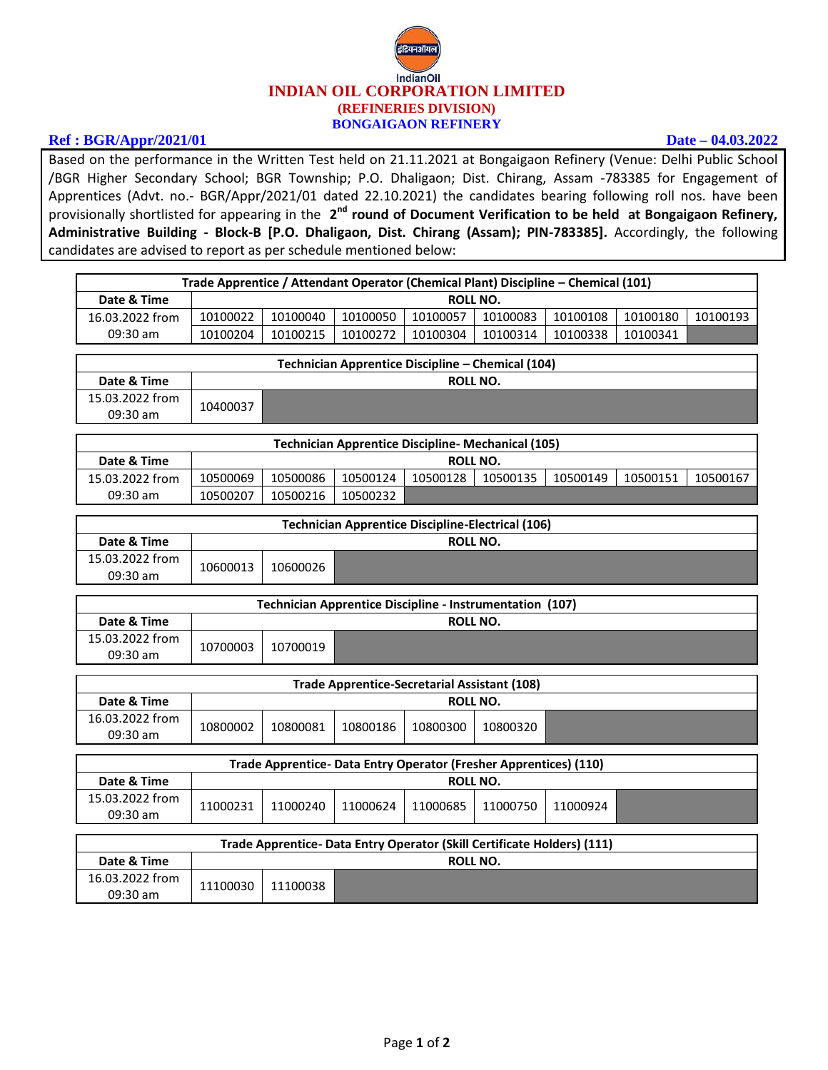

## **Ref : BGR/Appr/2021/01 Date – 04.03.2022**

Based on the performance in the Written Test held on 21.11.2021 at Bongaigaon Refinery (Venue: Delhi Public School /BGR Higher Secondary School; BGR Township; P.O. Dhaligaon; Dist. Chirang, Assam -783385 for Engagement of Apprentices (Advt. no.- BGR/Appr/2021/01 dated 22.10.2021) the candidates bearing following roll nos. have been provisionally shortlisted for appearing in the 2<sup>nd</sup> round of Document Verification to be held at Bongaigaon Refinery, **Administrative Building - Block-B [P.O. Dhaligaon, Dist. Chirang (Assam); PIN-783385].** Accordingly, the following candidates are advised to report as per schedule mentioned below:

| Trade Apprentice / Attendant Operator (Chemical Plant) Discipline - Chemical (101) |                                                   |          |          |          |          |          |          |          |
|------------------------------------------------------------------------------------|---------------------------------------------------|----------|----------|----------|----------|----------|----------|----------|
| Date & Time                                                                        |                                                   | ROLL NO. |          |          |          |          |          |          |
| 16.03.2022 from                                                                    | 10100022                                          | 10100040 | 10100050 | 10100057 | 10100083 | 10100108 | 10100180 | 10100193 |
| $09:30$ am                                                                         | 10100204                                          | 10100215 | 10100272 | 10100304 | 10100314 | 10100338 | 10100341 |          |
|                                                                                    |                                                   |          |          |          |          |          |          |          |
|                                                                                    | Technician Apprentice Discipline – Chemical (104) |          |          |          |          |          |          |          |
| Date & Time                                                                        |                                                   | ROLL NO. |          |          |          |          |          |          |
| 15.03.2022 from<br>$09:30$ am                                                      | 10400037                                          |          |          |          |          |          |          |          |

| <b>Technician Apprentice Discipline- Mechanical (105)</b> |          |          |          |          |          |          |          |          |
|-----------------------------------------------------------|----------|----------|----------|----------|----------|----------|----------|----------|
| Date & Time                                               |          | ROLL NO. |          |          |          |          |          |          |
| 15.03.2022 from                                           | 10500069 | 10500086 | 10500124 | 10500128 | 10500135 | 10500149 | 10500151 | 10500167 |
| 09:30 am                                                  | 10500207 | 10500216 | 10500232 |          |          |          |          |          |

| <b>Technician Apprentice Discipline-Electrical (106)</b> |          |          |          |  |  |
|----------------------------------------------------------|----------|----------|----------|--|--|
| Date & Time                                              |          |          | ROLL NO. |  |  |
| 15.03.2022 from<br>$09:30$ am                            | 10600013 | 10600026 |          |  |  |

| Technician Apprentice Discipline - Instrumentation (107) |          |          |  |  |  |  |
|----------------------------------------------------------|----------|----------|--|--|--|--|
| Date & Time                                              |          | ROLL NO. |  |  |  |  |
| 15.03.2022 from<br>$09:30$ am                            | 10700003 | 10700019 |  |  |  |  |

| <b>Trade Apprentice-Secretarial Assistant (108)</b> |          |          |          |          |          |  |
|-----------------------------------------------------|----------|----------|----------|----------|----------|--|
| Date & Time                                         |          |          |          | ROLL NO. |          |  |
| 16.03.2022 from<br>$09:30$ am                       | 10800002 | 10800081 | 10800186 | 10800300 | 10800320 |  |

| Trade Apprentice- Data Entry Operator (Fresher Apprentices) (110) |          |          |          |          |          |          |  |
|-------------------------------------------------------------------|----------|----------|----------|----------|----------|----------|--|
| Date & Time                                                       |          | ROLL NO. |          |          |          |          |  |
| 15.03.2022 from<br>$09:30$ am                                     | 11000231 | 11000240 | 11000624 | 11000685 | 11000750 | 11000924 |  |
|                                                                   |          |          |          |          |          |          |  |

| Trade Apprentice- Data Entry Operator (Skill Certificate Holders) (111) |          |          |          |  |  |
|-------------------------------------------------------------------------|----------|----------|----------|--|--|
| Date & Time                                                             |          |          | ROLL NO. |  |  |
| 16.03.2022 from<br>$09:30$ am                                           | 11100030 | 11100038 |          |  |  |